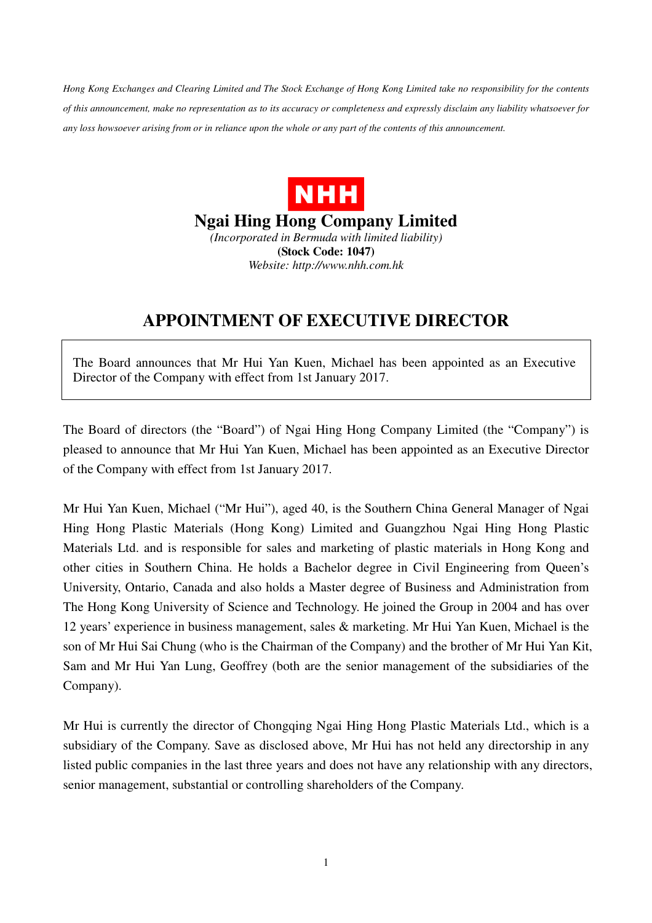*Hong Kong Exchanges and Clearing Limited and The Stock Exchange of Hong Kong Limited take no responsibility for the contents of this announcement, make no representation as to its accuracy or completeness and expressly disclaim any liability whatsoever for any loss howsoever arising from or in reliance upon the whole or any part of the contents of this announcement.* 



**Ngai Hing Hong Company Limited**  *(Incorporated in Bermuda with limited liability)* 

**(Stock Code: 1047)** 

*Website: http://www.nhh.com.hk* 

## **APPOINTMENT OF EXECUTIVE DIRECTOR**

The Board announces that Mr Hui Yan Kuen, Michael has been appointed as an Executive Director of the Company with effect from 1st January 2017.

The Board of directors (the "Board") of Ngai Hing Hong Company Limited (the "Company") is pleased to announce that Mr Hui Yan Kuen, Michael has been appointed as an Executive Director of the Company with effect from 1st January 2017.

Mr Hui Yan Kuen, Michael ("Mr Hui"), aged 40, is the Southern China General Manager of Ngai Hing Hong Plastic Materials (Hong Kong) Limited and Guangzhou Ngai Hing Hong Plastic Materials Ltd. and is responsible for sales and marketing of plastic materials in Hong Kong and other cities in Southern China. He holds a Bachelor degree in Civil Engineering from Queen's University, Ontario, Canada and also holds a Master degree of Business and Administration from The Hong Kong University of Science and Technology. He joined the Group in 2004 and has over 12 years' experience in business management, sales & marketing. Mr Hui Yan Kuen, Michael is the son of Mr Hui Sai Chung (who is the Chairman of the Company) and the brother of Mr Hui Yan Kit, Sam and Mr Hui Yan Lung, Geoffrey (both are the senior management of the subsidiaries of the Company).

Mr Hui is currently the director of Chongqing Ngai Hing Hong Plastic Materials Ltd., which is a subsidiary of the Company. Save as disclosed above, Mr Hui has not held any directorship in any listed public companies in the last three years and does not have any relationship with any directors, senior management, substantial or controlling shareholders of the Company.